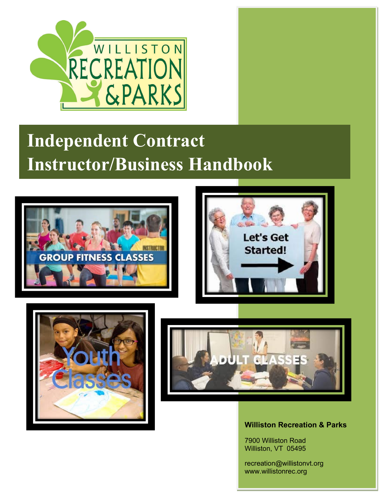

# **Independent Contract Instructor/Business Handbook**









**Williston Recreation & Parks**

7900 Williston Road Williston, VT 05495

recreation@willistonvt.org www.willistonrec.org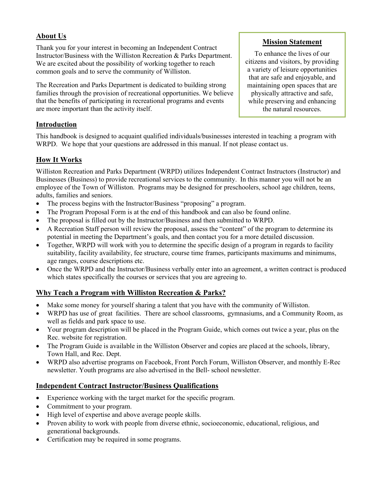## **About Us**

Thank you for your interest in becoming an Independent Contract Instructor/Business with the Williston Recreation & Parks Department. We are excited about the possibility of working together to reach common goals and to serve the community of Williston.

The Recreation and Parks Department is dedicated to building strong families through the provision of recreational opportunities. We believe that the benefits of participating in recreational programs and events are more important than the activity itself.

## **Introduction**

This handbook is designed to acquaint qualified individuals/businesses interested in teaching a program with WRPD. We hope that your questions are addressed in this manual. If not please contact us.

## **How It Works**

Williston Recreation and Parks Department (WRPD) utilizes Independent Contract Instructors (Instructor) and Businesses (Business) to provide recreational services to the community. In this manner you will not be an employee of the Town of Williston. Programs may be designed for preschoolers, school age children, teens, adults, families and seniors.

- The process begins with the Instructor/Business "proposing" a program.
- The Program Proposal Form is at the end of this handbook and can also be found online.
- The proposal is filled out by the Instructor/Business and then submitted to WRPD.
- A Recreation Staff person will review the proposal, assess the "content" of the program to determine its potential in meeting the Department's goals, and then contact you for a more detailed discussion.
- Together, WRPD will work with you to determine the specific design of a program in regards to facility suitability, facility availability, fee structure, course time frames, participants maximums and minimums, age ranges, course descriptions etc.
- Once the WRPD and the Instructor/Business verbally enter into an agreement, a written contract is produced which states specifically the courses or services that you are agreeing to.

## **Why Teach a Program with Williston Recreation & Parks?**

- Make some money for yourself sharing a talent that you have with the community of Williston.
- WRPD has use of great facilities. There are school classrooms, gymnasiums, and a Community Room, as well as fields and park space to use.
- Your program description will be placed in the Program Guide, which comes out twice a year, plus on the Rec. website for registration.
- The Program Guide is available in the Williston Observer and copies are placed at the schools, library, Town Hall, and Rec. Dept.
- WRPD also advertise programs on Facebook, Front Porch Forum, Williston Observer, and monthly E-Rec newsletter. Youth programs are also advertised in the Bell- school newsletter.

## **Independent Contract Instructor/Business Qualifications**

- Experience working with the target market for the specific program.
- Commitment to your program.
- High level of expertise and above average people skills.
- Proven ability to work with people from diverse ethnic, socioeconomic, educational, religious, and generational backgrounds.
- Certification may be required in some programs.

## **Mission Statement**

To enhance the lives of our citizens and visitors, by providing a variety of leisure opportunities that are safe and enjoyable, and maintaining open spaces that are physically attractive and safe, while preserving and enhancing the natural resources.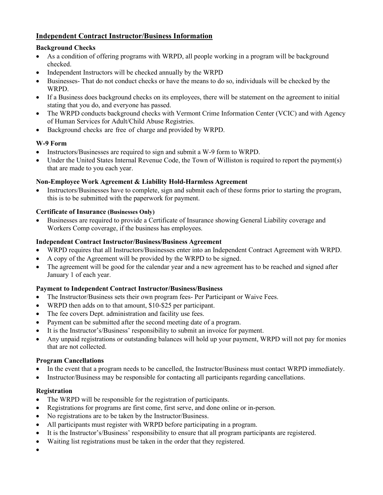## **Independent Contract Instructor/Business Information**

#### **Background Checks**

- As a condition of offering programs with WRPD, all people working in a program will be background checked.
- Independent Instructors will be checked annually by the WRPD
- Businesses- That do not conduct checks or have the means to do so, individuals will be checked by the WRPD.
- If a Business does background checks on its employees, there will be statement on the agreement to initial stating that you do, and everyone has passed.
- The WRPD conducts background checks with Vermont Crime Information Center (VCIC) and with Agency of Human Services for Adult/Child Abuse Registries.
- Background checks are free of charge and provided by WRPD.

## **W-9 Form**

- Instructors/Businesses are required to sign and submit a W-9 form to WRPD.
- Under the United States Internal Revenue Code, the Town of Williston is required to report the payment(s) that are made to you each year.

## **Non-Employee Work Agreement & Liability Hold-Harmless Agreement**

• Instructors/Businesses have to complete, sign and submit each of these forms prior to starting the program, this is to be submitted with the paperwork for payment.

## **Certificate of Insurance (Businesses Only)**

• Businesses are required to provide a Certificate of Insurance showing General Liability coverage and Workers Comp coverage, if the business has employees.

#### **Independent Contract Instructor/Business/Business Agreement**

- WRPD requires that all Instructors/Businesses enter into an Independent Contract Agreement with WRPD.
- A copy of the Agreement will be provided by the WRPD to be signed.
- The agreement will be good for the calendar year and a new agreement has to be reached and signed after January 1 of each year.

## **Payment to Independent Contract Instructor/Business/Business**

- The Instructor/Business sets their own program fees- Per Participant or Waive Fees.
- WRPD then adds on to that amount, \$10-\$25 per participant.
- The fee covers Dept. administration and facility use fees.
- Payment can be submitted after the second meeting date of a program.
- It is the Instructor's/Business' responsibility to submit an invoice for payment.
- Any unpaid registrations or outstanding balances will hold up your payment, WRPD will not pay for monies that are not collected.

#### **Program Cancellations**

- In the event that a program needs to be cancelled, the Instructor/Business must contact WRPD immediately.
- Instructor/Business may be responsible for contacting all participants regarding cancellations.

## **Registration**

- The WRPD will be responsible for the registration of participants.
- Registrations for programs are first come, first serve, and done online or in-person.
- No registrations are to be taken by the Instructor/Business.
- All participants must register with WRPD before participating in a program.
- It is the Instructor's/Business' responsibility to ensure that all program participants are registered.
- Waiting list registrations must be taken in the order that they registered.
- •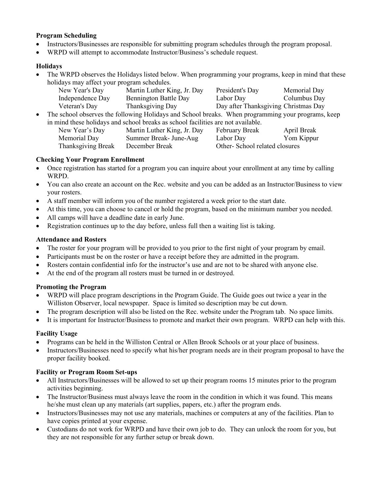#### **Program Scheduling**

- Instructors/Businesses are responsible for submitting program schedules through the program proposal.
- WRPD will attempt to accommodate Instructor/Business's schedule request.

#### **Holidays**

• The WRPD observes the Holidays listed below. When programming your programs, keep in mind that these holidays may affect your program schedules.

| New Year's Day   | Martin Luther King, Jr. Day | President's Day                      | Memorial Day |
|------------------|-----------------------------|--------------------------------------|--------------|
| Independence Day | Bennington Battle Day       | Labor Day                            | Columbus Day |
| Veteran's Day    | Thanksgiving Day            | Day after Thanksgiving Christmas Day |              |

• The school observes the following Holidays and School breaks. When programming your programs, keep in mind these holidays and school breaks as school facilities are not available.

| New Year's Day     | Martin Luther King, Jr. Day | February Break                | April Break |
|--------------------|-----------------------------|-------------------------------|-------------|
| Memorial Day       | Summer Break- June-Aug      | Labor Day                     | Yom Kippur  |
| Thanksgiving Break | December Break              | Other-School related closures |             |

#### **Checking Your Program Enrollment**

- Once registration has started for a program you can inquire about your enrollment at any time by calling WRPD.
- You can also create an account on the Rec. website and you can be added as an Instructor/Business to view your rosters.
- A staff member will inform you of the number registered a week prior to the start date.
- At this time, you can choose to cancel or hold the program, based on the minimum number you needed.
- All camps will have a deadline date in early June.
- Registration continues up to the day before, unless full then a waiting list is taking.

#### **Attendance and Rosters**

- The roster for your program will be provided to you prior to the first night of your program by email.
- Participants must be on the roster or have a receipt before they are admitted in the program.
- Rosters contain confidential info for the instructor's use and are not to be shared with anyone else.
- At the end of the program all rosters must be turned in or destroyed.

#### **Promoting the Program**

- WRPD will place program descriptions in the Program Guide. The Guide goes out twice a year in the Williston Observer, local newspaper. Space is limited so description may be cut down.
- The program description will also be listed on the Rec. website under the Program tab. No space limits.
- It is important for Instructor/Business to promote and market their own program. WRPD can help with this.

#### **Facility Usage**

- Programs can be held in the Williston Central or Allen Brook Schools or at your place of business.
- Instructors/Businesses need to specify what his/her program needs are in their program proposal to have the proper facility booked.

#### **Facility or Program Room Set-ups**

- All Instructors/Businesses will be allowed to set up their program rooms 15 minutes prior to the program activities beginning.
- The Instructor/Business must always leave the room in the condition in which it was found. This means he/she must clean up any materials (art supplies, papers, etc.) after the program ends.
- Instructors/Businesses may not use any materials, machines or computers at any of the facilities. Plan to have copies printed at your expense.
- Custodians do not work for WRPD and have their own job to do. They can unlock the room for you, but they are not responsible for any further setup or break down.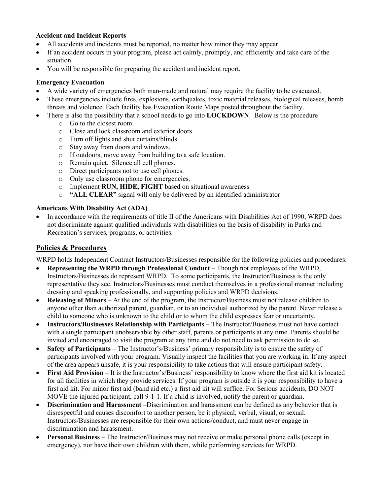#### **Accident and Incident Reports**

- All accidents and incidents must be reported, no matter how minor they may appear.
- If an accident occurs in your program, please act calmly, promptly, and efficiently and take care of the situation.
- You will be responsible for preparing the accident and incident report.

#### **Emergency Evacuation**

- A wide variety of emergencies both man-made and natural may require the facility to be evacuated.
- These emergencies include fires, explosions, earthquakes, toxic material releases, biological releases, bomb threats and violence. Each facility has Evacuation Route Maps posted throughout the facility.
- There is also the possibility that a school needs to go into **LOCKDOWN**. Below is the procedure
	- o Go to the closest room.
	- o Close and lock classroom and exterior doors.
	- o Turn off lights and shut curtains/blinds.
	- o Stay away from doors and windows.<br>
	o If outdoors, move away from buildin
	- If outdoors, move away from building to a safe location.
	- o Remain quiet. Silence all cell phones.
	- O Direct participants not to use cell phones.<br>
	O Only use classroom phone for emergencie
	- Only use classroom phone for emergencies.
	- o Implement **RUN, HIDE, FIGHT** based on situational awareness
	- o **"ALL CLEAR"** signal will only be delivered by an identified administrator

#### **Americans With Disability Act (ADA)**

• In accordance with the requirements of title II of the Americans with Disabilities Act of 1990, WRPD does not discriminate against qualified individuals with disabilities on the basis of disability in Parks and Recreation's services, programs, or activities.

## **Policies & Procedures**

WRPD holds Independent Contract Instructors/Businesses responsible for the following policies and procedures.

- **Representing the WRPD through Professional Conduct** Though not employees of the WRPD, Instructors/Businesses do represent WRPD. To some participants, the Instructor/Business is the only representative they see. Instructors/Businesses must conduct themselves in a professional manner including dressing and speaking professionally, and supporting policies and WRPD decisions.
- **Releasing of Minors** At the end of the program, the Instructor/Business must not release children to anyone other than authorized parent, guardian, or to an individual authorized by the parent. Never release a child to someone who is unknown to the child or to whom the child expresses fear or uncertainty.
- **Instructors/Businesses Relationship with Participants** The Instructor/Business must not have contact with a single participant unobservable by other staff, parents or participants at any time. Parents should be invited and encouraged to visit the program at any time and do not need to ask permission to do so.
- **Safety of Participants** The Instructor's/Business' primary responsibility is to ensure the safety of participants involved with your program. Visually inspect the facilities that you are working in. If any aspect of the area appears unsafe, it is your responsibility to take actions that will ensure participant safety.
- **First Aid Provision** It is the Instructor's/Business' responsibility to know where the first aid kit is located for all facilities in which they provide services. If your program is outside it is your responsibility to have a first aid kit. For minor first aid (band aid etc.) a first aid kit will suffice. For Serious accidents, DO NOT MOVE the injured participant, call 9-1-1. If a child is involved, notify the parent or guardian.
- **Discrimination and Harassment** –Discrimination and harassment can be defined as any behavior that is disrespectful and causes discomfort to another person, be it physical, verbal, visual, or sexual. Instructors/Businesses are responsible for their own actions/conduct, and must never engage in discrimination and harassment.
- **Personal Business** The Instructor/Business may not receive or make personal phone calls (except in emergency), nor have their own children with them, while performing services for WRPD.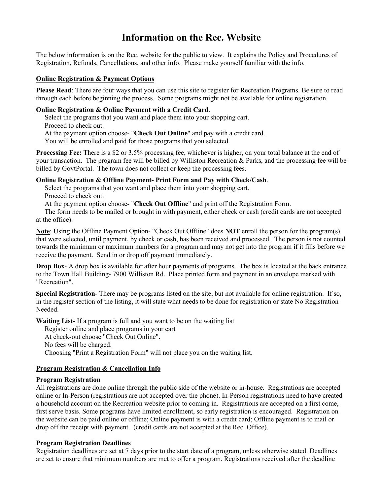## **Information on the Rec. Website**

The below information is on the Rec. website for the public to view. It explains the Policy and Procedures of Registration, Refunds, Cancellations, and other info. Please make yourself familiar with the info.

#### **Online Registration & Payment Options**

**Please Read**: There are four ways that you can use this site to register for Recreation Programs. Be sure to read through each before beginning the process. Some programs might not be available for online registration.

#### **Online Registration & Online Payment with a Credit Card**.

Select the programs that you want and place them into your shopping cart.

Proceed to check out.

At the payment option choose- "**Check Out Online**" and pay with a credit card.

You will be enrolled and paid for those programs that you selected.

**Processing Fee:** There is a \$2 or 3.5% processing fee, whichever is higher, on your total balance at the end of your transaction. The program fee will be billed by Williston Recreation & Parks, and the processing fee will be billed by GovtPortal. The town does not collect or keep the processing fees.

#### **Online Registration & Offline Payment- Print Form and Pay with Check/Cash**.

Select the programs that you want and place them into your shopping cart. Proceed to check out.

At the payment option choose- "**Check Out Offline**" and print off the Registration Form.

The form needs to be mailed or brought in with payment, either check or cash (credit cards are not accepted at the office).

**Note**: Using the Offline Payment Option- "Check Out Offline" does **NOT** enroll the person for the program(s) that were selected, until payment, by check or cash, has been received and processed. The person is not counted towards the minimum or maximum numbers for a program and may not get into the program if it fills before we receive the payment. Send in or drop off payment immediately.

**Drop Box-** A drop box is available for after hour payments of programs. The box is located at the back entrance to the Town Hall Building- 7900 Williston Rd. Place printed form and payment in an envelope marked with "Recreation".

**Special Registration-** There may be programs listed on the site, but not available for online registration. If so, in the register section of the listing, it will state what needs to be done for registration or state No Registration Needed.

**Waiting List**- If a program is full and you want to be on the waiting list

Register online and place programs in your cart

At check-out choose "Check Out Online".

No fees will be charged.

Choosing "Print a Registration Form" will not place you on the waiting list.

#### **Program Registration & Cancellation Info**

#### **Program Registration**

All registrations are done online through the public side of the website or in-house. Registrations are accepted online or In-Person (registrations are not accepted over the phone). In-Person registrations need to have created a household account on the Recreation website prior to coming in. Registrations are accepted on a first come, first serve basis. Some programs have limited enrollment, so early registration is encouraged. Registration on the website can be paid online or offline; Online payment is with a credit card; Offline payment is to mail or drop off the receipt with payment. (credit cards are not accepted at the Rec. Office).

#### **Program Registration Deadlines**

Registration deadlines are set at 7 days prior to the start date of a program, unless otherwise stated. Deadlines are set to ensure that minimum numbers are met to offer a program. Registrations received after the deadline